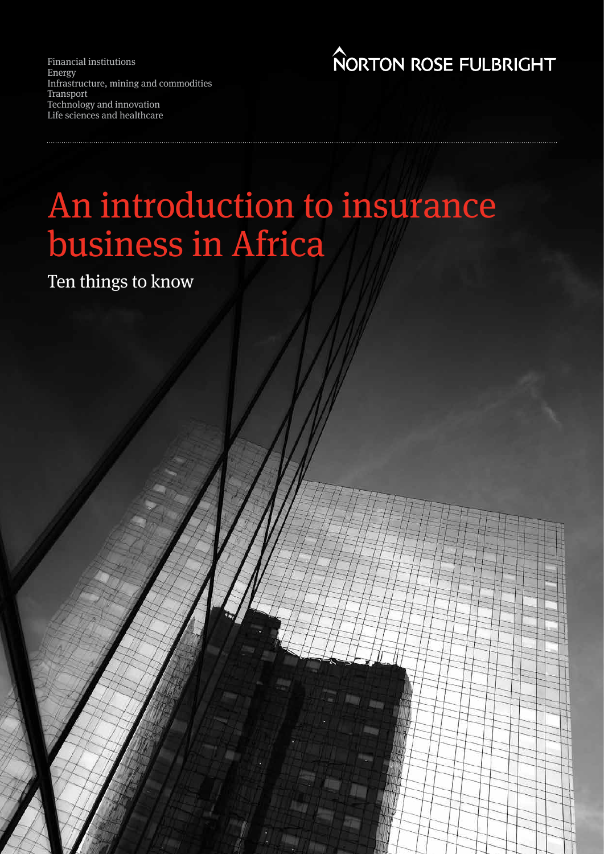Financial institutions Energy Infrastructure, mining and commodities Transport Technology and innovation Life sciences and healthcare

**NORTON ROSE FULBRIGHT** 

# An introduction to insurance business in Africa

Ten things to know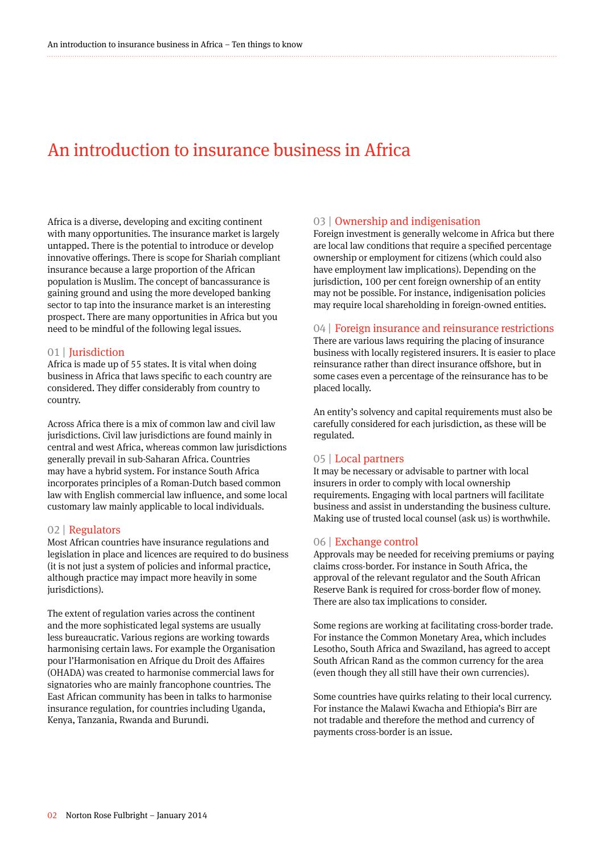### An introduction to insurance business in Africa

Africa is a diverse, developing and exciting continent with many opportunities. The insurance market is largely untapped. There is the potential to introduce or develop innovative offerings. There is scope for Shariah compliant insurance because a large proportion of the African population is Muslim. The concept of bancassurance is gaining ground and using the more developed banking sector to tap into the insurance market is an interesting prospect. There are many opportunities in Africa but you need to be mindful of the following legal issues.

#### 01 | Jurisdiction

Africa is made up of 55 states. It is vital when doing business in Africa that laws specific to each country are considered. They differ considerably from country to country.

Across Africa there is a mix of common law and civil law jurisdictions. Civil law jurisdictions are found mainly in central and west Africa, whereas common law jurisdictions generally prevail in sub-Saharan Africa. Countries may have a hybrid system. For instance South Africa incorporates principles of a Roman-Dutch based common law with English commercial law influence, and some local customary law mainly applicable to local individuals.

#### 02 | Regulators

Most African countries have insurance regulations and legislation in place and licences are required to do business (it is not just a system of policies and informal practice, although practice may impact more heavily in some jurisdictions).

The extent of regulation varies across the continent and the more sophisticated legal systems are usually less bureaucratic. Various regions are working towards harmonising certain laws. For example the Organisation pour l'Harmonisation en Afrique du Droit des Affaires (OHADA) was created to harmonise commercial laws for signatories who are mainly francophone countries. The East African community has been in talks to harmonise insurance regulation, for countries including Uganda, Kenya, Tanzania, Rwanda and Burundi.

#### 03 | Ownership and indigenisation

Foreign investment is generally welcome in Africa but there are local law conditions that require a specified percentage ownership or employment for citizens (which could also have employment law implications). Depending on the jurisdiction, 100 per cent foreign ownership of an entity may not be possible. For instance, indigenisation policies may require local shareholding in foreign-owned entities.

#### 04 | Foreign insurance and reinsurance restrictions

There are various laws requiring the placing of insurance business with locally registered insurers. It is easier to place reinsurance rather than direct insurance offshore, but in some cases even a percentage of the reinsurance has to be placed locally.

An entity's solvency and capital requirements must also be carefully considered for each jurisdiction, as these will be regulated.

#### 05 | Local partners

It may be necessary or advisable to partner with local insurers in order to comply with local ownership requirements. Engaging with local partners will facilitate business and assist in understanding the business culture. Making use of trusted local counsel (ask us) is worthwhile.

#### 06 | Exchange control

Approvals may be needed for receiving premiums or paying claims cross-border. For instance in South Africa, the approval of the relevant regulator and the South African Reserve Bank is required for cross-border flow of money. There are also tax implications to consider.

Some regions are working at facilitating cross-border trade. For instance the Common Monetary Area, which includes Lesotho, South Africa and Swaziland, has agreed to accept South African Rand as the common currency for the area (even though they all still have their own currencies).

Some countries have quirks relating to their local currency. For instance the Malawi Kwacha and Ethiopia's Birr are not tradable and therefore the method and currency of payments cross-border is an issue.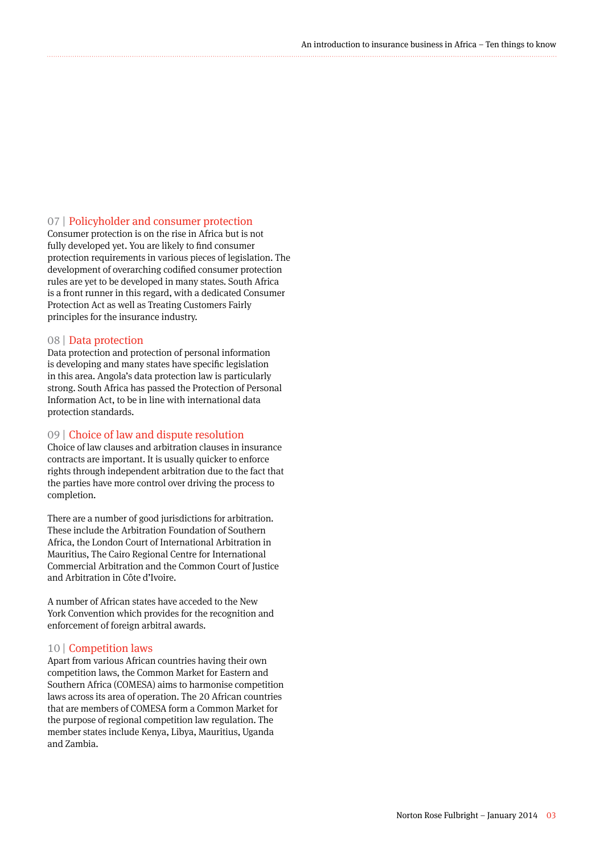#### 07 | Policyholder and consumer protection

Consumer protection is on the rise in Africa but is not fully developed yet. You are likely to find consumer protection requirements in various pieces of legislation. The development of overarching codified consumer protection rules are yet to be developed in many states. South Africa is a front runner in this regard, with a dedicated Consumer Protection Act as well as Treating Customers Fairly principles for the insurance industry.

#### 08 | Data protection

Data protection and protection of personal information is developing and many states have specific legislation in this area. Angola's data protection law is particularly strong. South Africa has passed the Protection of Personal Information Act, to be in line with international data protection standards.

#### 09 | Choice of law and dispute resolution

Choice of law clauses and arbitration clauses in insurance contracts are important. It is usually quicker to enforce rights through independent arbitration due to the fact that the parties have more control over driving the process to completion.

There are a number of good jurisdictions for arbitration. These include the Arbitration Foundation of Southern Africa, the London Court of International Arbitration in Mauritius, The Cairo Regional Centre for International Commercial Arbitration and the Common Court of Justice and Arbitration in Côte d'Ivoire.

A number of African states have acceded to the New York Convention which provides for the recognition and enforcement of foreign arbitral awards.

#### 10 | Competition laws

Apart from various African countries having their own competition laws, the Common Market for Eastern and Southern Africa (COMESA) aims to harmonise competition laws across its area of operation. The 20 African countries that are members of COMESA form a Common Market for the purpose of regional competition law regulation. The member states include Kenya, Libya, Mauritius, Uganda and Zambia.